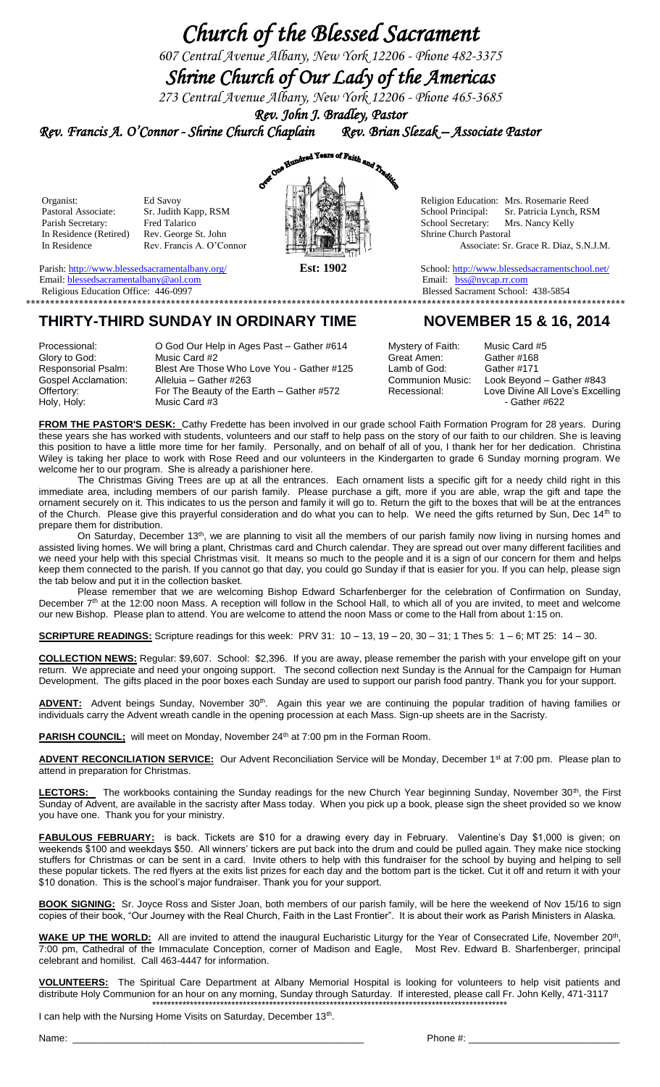# *Church of the Blessed Sacrament*

*607 Central Avenue Albany, New York 12206 - Phone 482-3375*

## *Shrine Church of Our Lady of the Americas*

*273 Central Avenue Albany, New York 12206 - Phone 465-3685 Rev. John J. Bradley, Pastor* 

*Rev. Francis A. O'Connor - Shrine Church Chaplain Rev. Brian Slezak – Associate Pastor* 



Pastoral Associate: Sr. Judith Kapp, RSM  $\begin{array}{c} \begin{array}{c} \begin{array}{c} \end{array} \end{array}$  School Principal: Sr. Patricia Lynch, RSM Parish Secretary: Fred Talarico School Secretary: Mrs. Nancy Kelly In Residence Rev. Francis A. O'Connor Associate: Sr. Grace R. Diaz, S.N.J.M.

Parish: <u>http://www.blessedsacramentalbany.org/</u> **Est: 1902** School:<http://www.blessedsacramentschool.net/><br>
Email: blessedsacramentalbany@aol.com Email: bss@nycap.rr.com

### Email: <u>blessedsacramentalbany@aol.com</u><br>
Religious Education Office: 446-0997<br>
Religious Education Office: 446-0997 Religious Education Office: 446-0997 **\*\*\*\*\*\*\*\*\*\*\*\*\*\*\*\*\*\*\*\*\*\*\*\*\*\*\*\*\*\*\*\*\*\*\*\*\*\*\*\*\*\*\*\*\*\*\*\*\*\*\*\*\*\*\*\*\*\*\*\*\*\*\*\*\*\*\*\*\*\*\*\*\*\*\*\*\*\*\*\*\*\*\*\*\*\*\*\*\*\*\*\*\*\*\*\*\*\*\*\*\*\*\*\*\*\*\*\*\*\*\*\*\*\*\*\*\*\*\*\*\*\*\*\***

### **THIRTY-THIRD SUNDAY IN ORDINARY TIME NOVEMBER 15 & 16, 2014**

Processional: **O God Our Help in Ages Past – Gather #614** Mystery of Faith: Music Card #5 Glory to God: Music Card #2 Great Amen: Gather #168 Responsorial Psalm: Blest Are Those Who Love You - Gather #125 Lamb of God: Gather #171<br>Gospel Acclamation: Alleluia – Gather #263 Communion Music: Look Beyono Offertory: For The Beauty of the Earth – Gather #572 Recessional: Love Divine All Love Content +622<br>Holy, Holy: Cather #622 Music Card #3

Look Beyond – Gather #843<br>Love Divine All Love's Excelling

**FROM THE PASTOR'S DESK:** Cathy Fredette has been involved in our grade school Faith Formation Program for 28 years. During these years she has worked with students, volunteers and our staff to help pass on the story of our faith to our children. She is leaving this position to have a little more time for her family. Personally, and on behalf of all of you, I thank her for her dedication. Christina Wiley is taking her place to work with Rose Reed and our volunteers in the Kindergarten to grade 6 Sunday morning program. We welcome her to our program. She is already a parishioner here.

The Christmas Giving Trees are up at all the entrances. Each ornament lists a specific gift for a needy child right in this immediate area, including members of our parish family. Please purchase a gift, more if you are able, wrap the gift and tape the ornament securely on it. This indicates to us the person and family it will go to. Return the gift to the boxes that will be at the entrances of the Church. Please give this prayerful consideration and do what you can to help. We need the gifts returned by Sun, Dec 14<sup>th</sup> to prepare them for distribution.

On Saturday, December 13th, we are planning to visit all the members of our parish family now living in nursing homes and assisted living homes. We will bring a plant, Christmas card and Church calendar. They are spread out over many different facilities and we need your help with this special Christmas visit. It means so much to the people and it is a sign of our concern for them and helps keep them connected to the parish. If you cannot go that day, you could go Sunday if that is easier for you. If you can help, please sign the tab below and put it in the collection basket.

Please remember that we are welcoming Bishop Edward Scharfenberger for the celebration of Confirmation on Sunday, December 7<sup>th</sup> at the 12:00 noon Mass. A reception will follow in the School Hall, to which all of you are invited, to meet and welcome our new Bishop. Please plan to attend. You are welcome to attend the noon Mass or come to the Hall from about 1:15 on.

**SCRIPTURE READINGS:** Scripture readings for this week: PRV 31: 10 – 13, 19 – 20, 30 – 31; 1 Thes 5: 1 – 6; MT 25: 14 – 30.

**COLLECTION NEWS:** Regular: \$9,607. School: \$2,396. If you are away, please remember the parish with your envelope gift on your return. We appreciate and need your ongoing support. The second collection next Sunday is the Annual for the Campaign for Human Development. The gifts placed in the poor boxes each Sunday are used to support our parish food pantry. Thank you for your support.

ADVENT: Advent beings Sunday, November 30<sup>th</sup>. Again this year we are continuing the popular tradition of having families or individuals carry the Advent wreath candle in the opening procession at each Mass. Sign-up sheets are in the Sacristy.

**PARISH COUNCIL;** will meet on Monday, November 24<sup>th</sup> at 7:00 pm in the Forman Room.

ADVENT RECONCILIATION SERVICE: Our Advent Reconciliation Service will be Monday, December 1<sup>st</sup> at 7:00 pm. Please plan to attend in preparation for Christmas.

LECTORS: The workbooks containing the Sunday readings for the new Church Year beginning Sunday, November 30<sup>th</sup>, the First Sunday of Advent, are available in the sacristy after Mass today. When you pick up a book, please sign the sheet provided so we know you have one. Thank you for your ministry.

**FABULOUS FEBRUARY:** is back. Tickets are \$10 for a drawing every day in February. Valentine's Day \$1,000 is given; on weekends \$100 and weekdays \$50. All winners' tickers are put back into the drum and could be pulled again. They make nice stocking stuffers for Christmas or can be sent in a card. Invite others to help with this fundraiser for the school by buying and helping to sell these popular tickets. The red flyers at the exits list prizes for each day and the bottom part is the ticket. Cut it off and return it with your \$10 donation. This is the school's major fundraiser. Thank you for your support.

**BOOK SIGNING:** Sr. Joyce Ross and Sister Joan, both members of our parish family, will be here the weekend of Nov 15/16 to sign copies of their book, "Our Journey with the Real Church, Faith in the Last Frontier". It is about their work as Parish Ministers in Alaska.

WAKE UP THE WORLD: All are invited to attend the inaugural Eucharistic Liturgy for the Year of Consecrated Life, November 20<sup>th</sup>, 7:00 pm, Cathedral of the Immaculate Conception, corner of Madison and Eagle, Most Rev. Edward B. Sharfenberger, principal celebrant and homilist. Call 463-4447 for information.

**VOLUNTEERS:** The Spiritual Care Department at Albany Memorial Hospital is looking for volunteers to help visit patients and distribute Holy Communion for an hour on any morning, Sunday through Saturday. If interested, please call Fr. John Kelly, 471-3117 \*\*\*\*\*\*\*\*\*\*\*\*\*\*\*\*\*\*\*\*\*\*\*\*\*\*\*\*\*\*\*\*\*\*\*\*\*\*\*\*\*\*\*\*\*\*\*\*\*\*\*\*\*\*\*\*\*\*\*\*\*\*\*\*\*\*\*\*\*\*\*\*\*\*\*\*\*\*\*\*\*\*\*\*\*\*\*\*\*\*\*\*\*\*

I can help with the Nursing Home Visits on Saturday, December 13<sup>th</sup>.